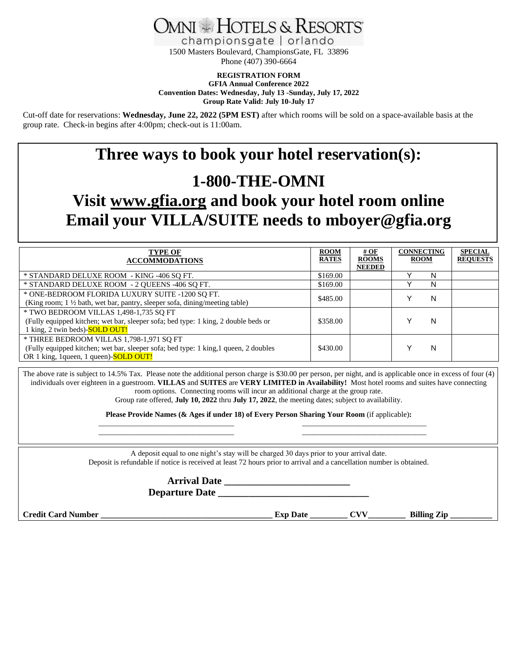

championsgate | orlando 1500 Masters Boulevard, ChampionsGate, FL 33896 Phone (407) 390-6664

**REGISTRATION FORM**

**GFIA Annual Conference 2022 Convention Dates: Wednesday, July 13 -Sunday, July 17, 2022 Group Rate Valid: July 10-July 17**

Cut-off date for reservations: **Wednesday, June 22, 2022 (5PM EST)** after which rooms will be sold on a space-available basis at the group rate. Check-in begins after 4:00pm; check-out is 11:00am.

# **Three ways to book your hotel reservation(s): 1-800-THE-OMNI**

# **Visit [www.gfia.org](http://www.gfia.org/) and book your hotel room online Email your VILLA/SUITE needs to mboyer@gfia.org**

| <b>TYPE OF</b><br><b>ACCOMMODATIONS</b>                                                                                                                                   | <b>ROOM</b><br><b>RATES</b> | # $OF$<br><b>ROOMS</b><br><b>NEEDED</b> | <b>CONNECTING</b><br><b>ROOM</b> |   | <b>SPECIAL</b><br><b>REQUESTS</b> |
|---------------------------------------------------------------------------------------------------------------------------------------------------------------------------|-----------------------------|-----------------------------------------|----------------------------------|---|-----------------------------------|
| * STANDARD DELUXE ROOM - KING -406 SQ FT.                                                                                                                                 | \$169.00                    |                                         |                                  | N |                                   |
| * STANDARD DELUXE ROOM - 2 QUEENS -406 SQ FT.                                                                                                                             | \$169.00                    |                                         |                                  | N |                                   |
| * ONE-BEDROOM FLORIDA LUXURY SUITE -1200 SQ FT.<br>(King room; 1 1/2 bath, wet bar, pantry, sleeper sofa, dining/meeting table)                                           | \$485.00                    |                                         |                                  | N |                                   |
| * TWO BEDROOM VILLAS 1,498-1,735 SQ FT<br>(Fully equipped kitchen; wet bar, sleeper sofa; bed type: 1 king, 2 double beds or<br>1 king, 2 twin beds)- <b>SOLD OUT!</b>    | \$358.00                    |                                         |                                  | N |                                   |
| * THREE BEDROOM VILLAS 1,798-1,971 SO FT<br>(Fully equipped kitchen; wet bar, sleeper sofa; bed type: 1 king, 1 queen, 2 doubles<br>OR 1 king, 1queen, 1 queen)-SOLD OUT! | \$430.00                    |                                         |                                  | N |                                   |

The above rate is subject to 14.5% Tax. Please note the additional person charge is \$30.00 per person, per night, and is applicable once in excess of four (4) individuals over eighteen in a guestroom. **VILLAS** and **SUITES** are **VERY LIMITED in Availability!** Most hotel rooms and suites have connecting room options. Connecting rooms will incur an additional charge at the group rate. Group rate offered, **July 10, 2022** thru **July 17, 2022**, the meeting dates; subject to availability.

> **Please Provide Names (& Ages if under 18) of Every Person Sharing Your Room** (if applicable)**:**  $\overline{\phantom{a}}$  , and the contribution of the contribution of the contribution of the contribution of the contribution of the contribution of the contribution of the contribution of the contribution of the contribution of the

> $\frac{1}{2}$  ,  $\frac{1}{2}$  ,  $\frac{1}{2}$  ,  $\frac{1}{2}$  ,  $\frac{1}{2}$  ,  $\frac{1}{2}$  ,  $\frac{1}{2}$  ,  $\frac{1}{2}$  ,  $\frac{1}{2}$  ,  $\frac{1}{2}$  ,  $\frac{1}{2}$  ,  $\frac{1}{2}$  ,  $\frac{1}{2}$  ,  $\frac{1}{2}$  ,  $\frac{1}{2}$  ,  $\frac{1}{2}$  ,  $\frac{1}{2}$  ,  $\frac{1}{2}$  ,  $\frac{1$

A deposit equal to one night's stay will be charged 30 days prior to your arrival date. Deposit is refundable if notice is received at least 72 hours prior to arrival and a cancellation number is obtained.

> **Arrival Date \_\_\_\_\_\_\_\_\_\_\_\_\_\_\_\_\_\_\_\_\_\_\_\_\_ Departure Date \_\_\_\_\_\_\_\_\_\_\_\_\_\_\_\_\_\_\_\_\_\_\_\_\_\_\_\_\_\_**

**Credit Card Number \_\_\_\_\_\_\_\_\_\_\_\_\_\_\_\_\_\_\_\_\_\_\_\_\_\_\_\_\_\_\_\_\_\_\_\_\_\_\_\_\_ Exp Date \_\_\_\_\_\_\_\_\_ CVV\_\_\_\_\_\_\_\_\_ Billing Zip \_\_\_\_\_\_\_\_\_\_**